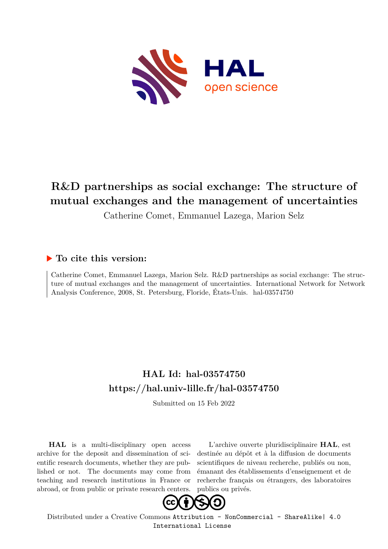

# **R&D partnerships as social exchange: The structure of mutual exchanges and the management of uncertainties**

Catherine Comet, Emmanuel Lazega, Marion Selz

## **To cite this version:**

Catherine Comet, Emmanuel Lazega, Marion Selz. R&D partnerships as social exchange: The structure of mutual exchanges and the management of uncertainties. International Network for Network Analysis Conference, 2008, St. Petersburg, Floride, États-Unis. hal-03574750

# **HAL Id: hal-03574750 <https://hal.univ-lille.fr/hal-03574750>**

Submitted on 15 Feb 2022

**HAL** is a multi-disciplinary open access archive for the deposit and dissemination of scientific research documents, whether they are published or not. The documents may come from teaching and research institutions in France or abroad, or from public or private research centers.

L'archive ouverte pluridisciplinaire **HAL**, est destinée au dépôt et à la diffusion de documents scientifiques de niveau recherche, publiés ou non, émanant des établissements d'enseignement et de recherche français ou étrangers, des laboratoires publics ou privés.



Distributed under a Creative Commons [Attribution - NonCommercial - ShareAlike| 4.0](http://creativecommons.org/licenses/by-nc-sa/4.0/) [International License](http://creativecommons.org/licenses/by-nc-sa/4.0/)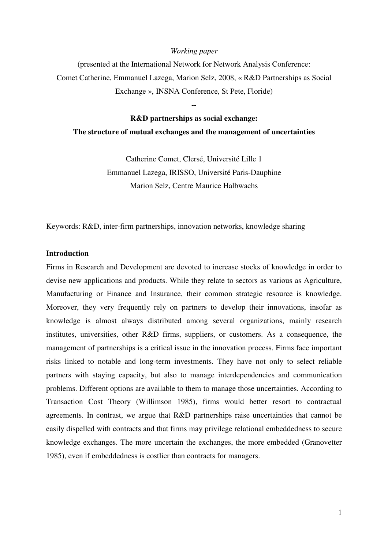#### *Working paper*

(presented at the International Network for Network Analysis Conference: Comet Catherine, Emmanuel Lazega, Marion Selz, 2008, « R&D Partnerships as Social Exchange », INSNA Conference, St Pete, Floride)

# **R&D partnerships as social exchange: The structure of mutual exchanges and the management of uncertainties**

**--** 

Catherine Comet, Clersé, Université Lille 1 Emmanuel Lazega, IRISSO, Université Paris-Dauphine Marion Selz, Centre Maurice Halbwachs

Keywords: R&D, inter-firm partnerships, innovation networks, knowledge sharing

### **Introduction**

Firms in Research and Development are devoted to increase stocks of knowledge in order to devise new applications and products. While they relate to sectors as various as Agriculture, Manufacturing or Finance and Insurance, their common strategic resource is knowledge. Moreover, they very frequently rely on partners to develop their innovations, insofar as knowledge is almost always distributed among several organizations, mainly research institutes, universities, other R&D firms, suppliers, or customers. As a consequence, the management of partnerships is a critical issue in the innovation process. Firms face important risks linked to notable and long-term investments. They have not only to select reliable partners with staying capacity, but also to manage interdependencies and communication problems. Different options are available to them to manage those uncertainties. According to Transaction Cost Theory (Willimson 1985), firms would better resort to contractual agreements. In contrast, we argue that R&D partnerships raise uncertainties that cannot be easily dispelled with contracts and that firms may privilege relational embeddedness to secure knowledge exchanges. The more uncertain the exchanges, the more embedded (Granovetter 1985), even if embeddedness is costlier than contracts for managers.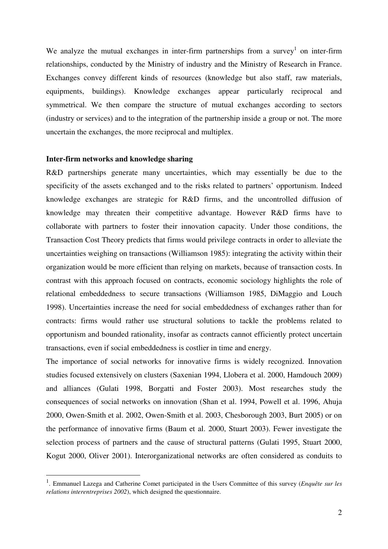We analyze the mutual exchanges in inter-firm partnerships from a survey<sup>1</sup> on inter-firm relationships, conducted by the Ministry of industry and the Ministry of Research in France. Exchanges convey different kinds of resources (knowledge but also staff, raw materials, equipments, buildings). Knowledge exchanges appear particularly reciprocal and symmetrical. We then compare the structure of mutual exchanges according to sectors (industry or services) and to the integration of the partnership inside a group or not. The more uncertain the exchanges, the more reciprocal and multiplex.

### **Inter-firm networks and knowledge sharing**

 $\overline{a}$ 

R&D partnerships generate many uncertainties, which may essentially be due to the specificity of the assets exchanged and to the risks related to partners' opportunism. Indeed knowledge exchanges are strategic for R&D firms, and the uncontrolled diffusion of knowledge may threaten their competitive advantage. However R&D firms have to collaborate with partners to foster their innovation capacity. Under those conditions, the Transaction Cost Theory predicts that firms would privilege contracts in order to alleviate the uncertainties weighing on transactions (Williamson 1985): integrating the activity within their organization would be more efficient than relying on markets, because of transaction costs. In contrast with this approach focused on contracts, economic sociology highlights the role of relational embeddedness to secure transactions (Williamson 1985, DiMaggio and Louch 1998). Uncertainties increase the need for social embeddedness of exchanges rather than for contracts: firms would rather use structural solutions to tackle the problems related to opportunism and bounded rationality, insofar as contracts cannot efficiently protect uncertain transactions, even if social embeddedness is costlier in time and energy.

The importance of social networks for innovative firms is widely recognized. Innovation studies focused extensively on clusters (Saxenian 1994, Llobera et al. 2000, Hamdouch 2009) and alliances (Gulati 1998, Borgatti and Foster 2003). Most researches study the consequences of social networks on innovation (Shan et al. 1994, Powell et al. 1996, Ahuja 2000, Owen-Smith et al. 2002, Owen-Smith et al. 2003, Chesborough 2003, Burt 2005) or on the performance of innovative firms (Baum et al. 2000, Stuart 2003). Fewer investigate the selection process of partners and the cause of structural patterns (Gulati 1995, Stuart 2000, Kogut 2000, Oliver 2001). Interorganizational networks are often considered as conduits to

<sup>&</sup>lt;sup>1</sup>. Emmanuel Lazega and Catherine Comet participated in the Users Committee of this survey (*Enquête sur les relations interentreprises 2002*), which designed the questionnaire.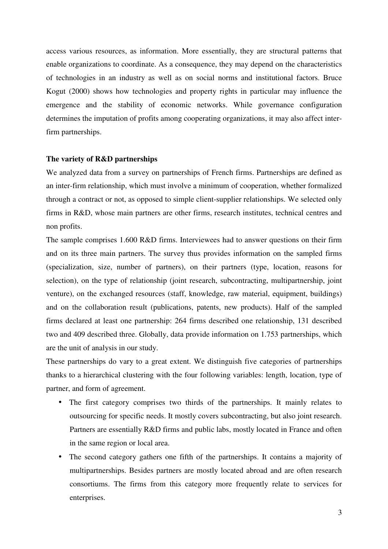access various resources, as information. More essentially, they are structural patterns that enable organizations to coordinate. As a consequence, they may depend on the characteristics of technologies in an industry as well as on social norms and institutional factors. Bruce Kogut (2000) shows how technologies and property rights in particular may influence the emergence and the stability of economic networks. While governance configuration determines the imputation of profits among cooperating organizations, it may also affect interfirm partnerships.

### **The variety of R&D partnerships**

We analyzed data from a survey on partnerships of French firms. Partnerships are defined as an inter-firm relationship, which must involve a minimum of cooperation, whether formalized through a contract or not, as opposed to simple client-supplier relationships. We selected only firms in R&D, whose main partners are other firms, research institutes, technical centres and non profits.

The sample comprises 1.600 R&D firms. Interviewees had to answer questions on their firm and on its three main partners. The survey thus provides information on the sampled firms (specialization, size, number of partners), on their partners (type, location, reasons for selection), on the type of relationship (joint research, subcontracting, multipartnership, joint venture), on the exchanged resources (staff, knowledge, raw material, equipment, buildings) and on the collaboration result (publications, patents, new products). Half of the sampled firms declared at least one partnership: 264 firms described one relationship, 131 described two and 409 described three. Globally, data provide information on 1.753 partnerships, which are the unit of analysis in our study.

These partnerships do vary to a great extent. We distinguish five categories of partnerships thanks to a hierarchical clustering with the four following variables: length, location, type of partner, and form of agreement.

- The first category comprises two thirds of the partnerships. It mainly relates to outsourcing for specific needs. It mostly covers subcontracting, but also joint research. Partners are essentially R&D firms and public labs, mostly located in France and often in the same region or local area.
- The second category gathers one fifth of the partnerships. It contains a majority of multipartnerships. Besides partners are mostly located abroad and are often research consortiums. The firms from this category more frequently relate to services for enterprises.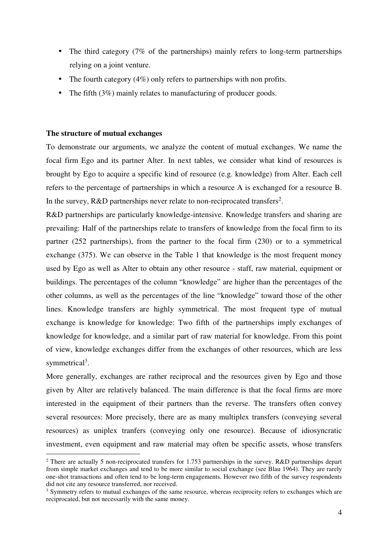- The third category (7% of the partnerships) mainly refers to long-term partnerships relying on a joint venture.
- The fourth category  $(4\%)$  only refers to partnerships with non profits.
- The fifth (3%) mainly relates to manufacturing of producer goods.

### **The structure of mutual exchanges**

 $\overline{a}$ 

To demonstrate our arguments, we analyze the content of mutual exchanges. We name the focal firm Ego and its partner Alter. In next tables, we consider what kind of resources is brought by Ego to acquire a specific kind of resource (e.g. knowledge) from Alter. Each cell refers to the percentage of partnerships in which a resource A is exchanged for a resource B. In the survey,  $R&D$  partnerships never relate to non-reciprocated transfers<sup>2</sup>.

R&D partnerships are particularly knowledge-intensive. Knowledge transfers and sharing are prevailing: Half of the partnerships relate to transfers of knowledge from the focal firm to its partner (252 partnerships), from the partner to the focal firm (230) or to a symmetrical exchange (375). We can observe in the Table 1 that knowledge is the most frequent money used by Ego as well as Alter to obtain any other resource - staff, raw material, equipment or buildings. The percentages of the column "knowledge" are higher than the percentages of the other columns, as well as the percentages of the line "knowledge" toward those of the other lines. Knowledge transfers are highly symmetrical. The most frequent type of mutual exchange is knowledge for knowledge: Two fifth of the partnerships imply exchanges of knowledge for knowledge, and a similar part of raw material for knowledge. From this point of view, knowledge exchanges differ from the exchanges of other resources, which are less symmetrical<sup>3</sup>.

More generally, exchanges are rather reciprocal and the resources given by Ego and those given by Alter are relatively balanced. The main difference is that the focal firms are more interested in the equipment of their partners than the reverse. The transfers often convey several resources: More precisely, there are as many multiplex transfers (conveying several resources) as uniplex tranfers (conveying only one resource). Because of idiosyncratic investment, even equipment and raw material may often be specific assets, whose transfers

<sup>&</sup>lt;sup>2</sup> There are actually 5 non-reciprocated transfers for 1.753 partnerships in the survey. R&D partnerships depart from simple market exchanges and tend to be more similar to social exchange (see Blau 1964). They are rarely one-shot transactions and often tend to be long-term engagements. However two fifth of the survey respondents did not cite any resource transferred, nor received.

<sup>&</sup>lt;sup>3</sup> Symmetry refers to mutual exchanges of the same resource, whereas reciprocity refers to exchanges which are reciprocated, but not necessarily with the same money.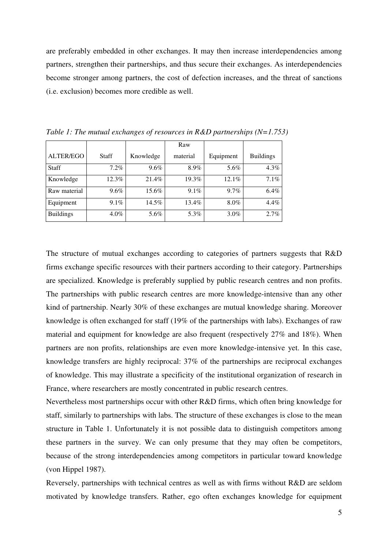are preferably embedded in other exchanges. It may then increase interdependencies among partners, strengthen their partnerships, and thus secure their exchanges. As interdependencies become stronger among partners, the cost of defection increases, and the threat of sanctions (i.e. exclusion) becomes more credible as well.

|                  |         |           | Raw      |           |                  |
|------------------|---------|-----------|----------|-----------|------------------|
| ALTER/EGO        | Staff   | Knowledge | material | Equipment | <b>Buildings</b> |
| <b>Staff</b>     | $7.2\%$ | 9.6%      | 8.9%     | 5.6%      | 4.3%             |
| Knowledge        | 12.3%   | 21.4%     | 19.3%    | $12.1\%$  | 7.1%             |
| Raw material     | $9.6\%$ | 15.6%     | $9.1\%$  | $9.7\%$   | $6.4\%$          |
| Equipment        | $9.1\%$ | 14.5%     | 13.4%    | 8.0%      | 4.4%             |
| <b>Buildings</b> | $4.0\%$ | 5.6%      | 5.3%     | $3.0\%$   | 2.7%             |

*Table 1: The mutual exchanges of resources in R&D partnerships (N=1.753)* 

The structure of mutual exchanges according to categories of partners suggests that R&D firms exchange specific resources with their partners according to their category. Partnerships are specialized. Knowledge is preferably supplied by public research centres and non profits. The partnerships with public research centres are more knowledge-intensive than any other kind of partnership. Nearly 30% of these exchanges are mutual knowledge sharing. Moreover knowledge is often exchanged for staff (19% of the partnerships with labs). Exchanges of raw material and equipment for knowledge are also frequent (respectively 27% and 18%). When partners are non profits, relationships are even more knowledge-intensive yet. In this case, knowledge transfers are highly reciprocal: 37% of the partnerships are reciprocal exchanges of knowledge. This may illustrate a specificity of the institutional organization of research in France, where researchers are mostly concentrated in public research centres.

Nevertheless most partnerships occur with other R&D firms, which often bring knowledge for staff, similarly to partnerships with labs. The structure of these exchanges is close to the mean structure in Table 1. Unfortunately it is not possible data to distinguish competitors among these partners in the survey. We can only presume that they may often be competitors, because of the strong interdependencies among competitors in particular toward knowledge (von Hippel 1987).

Reversely, partnerships with technical centres as well as with firms without R&D are seldom motivated by knowledge transfers. Rather, ego often exchanges knowledge for equipment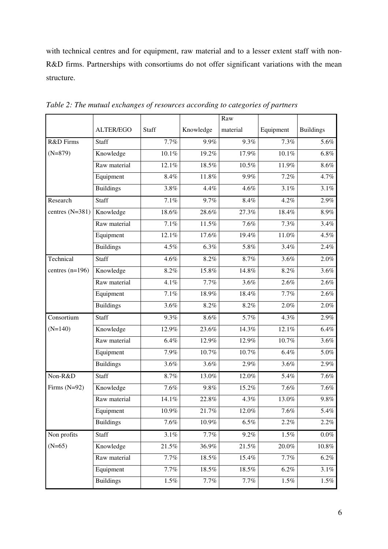with technical centres and for equipment, raw material and to a lesser extent staff with non-R&D firms. Partnerships with consortiums do not offer significant variations with the mean structure.

|                   |                  |         |           | Raw      |           |                  |
|-------------------|------------------|---------|-----------|----------|-----------|------------------|
|                   | <b>ALTER/EGO</b> | Staff   | Knowledge | material | Equipment | <b>Buildings</b> |
| R&D Firms         | <b>Staff</b>     | 7.7%    | 9.9%      | 9.3%     | 7.3%      | 5.6%             |
| $(N=879)$         | Knowledge        | 10.1%   | 19.2%     | 17.9%    | 10.1%     | $6.8\%$          |
|                   | Raw material     | 12.1%   | 18.5%     | 10.5%    | 11.9%     | 8.6%             |
|                   | Equipment        | 8.4%    | 11.8%     | 9.9%     | 7.2%      | 4.7%             |
|                   | <b>Buildings</b> | 3.8%    | 4.4%      | 4.6%     | 3.1%      | 3.1%             |
| Research          | <b>Staff</b>     | $7.1\%$ | 9.7%      | 8.4%     | 4.2%      | 2.9%             |
| centres $(N=381)$ | Knowledge        | 18.6%   | 28.6%     | 27.3%    | 18.4%     | 8.9%             |
|                   | Raw material     | 7.1%    | 11.5%     | 7.6%     | 7.3%      | 3.4%             |
|                   | Equipment        | 12.1%   | 17.6%     | 19.4%    | 11.0%     | 4.5%             |
|                   | <b>Buildings</b> | 4.5%    | 6.3%      | 5.8%     | 3.4%      | 2.4%             |
| Technical         | <b>Staff</b>     | 4.6%    | 8.2%      | 8.7%     | 3.6%      | 2.0%             |
| centres $(n=196)$ | Knowledge        | 8.2%    | 15.8%     | 14.8%    | 8.2%      | 3.6%             |
|                   | Raw material     | 4.1%    | 7.7%      | 3.6%     | 2.6%      | 2.6%             |
|                   | Equipment        | $7.1\%$ | 18.9%     | 18.4%    | 7.7%      | 2.6%             |
|                   | <b>Buildings</b> | 3.6%    | 8.2%      | 8.2%     | 2.0%      | 2.0%             |
| Consortium        | Staff            | 9.3%    | 8.6%      | 5.7%     | 4.3%      | 2.9%             |
| $(N=140)$         | Knowledge        | 12.9%   | 23.6%     | 14.3%    | 12.1%     | 6.4%             |
|                   | Raw material     | $6.4\%$ | 12.9%     | 12.9%    | 10.7%     | 3.6%             |
|                   | Equipment        | 7.9%    | 10.7%     | 10.7%    | 6.4%      | 5.0%             |
|                   | <b>Buildings</b> | 3.6%    | 3.6%      | 2.9%     | 3.6%      | 2.9%             |
| Non-R&D           | <b>Staff</b>     | 8.7%    | 13.0%     | 12.0%    | 5.4%      | 7.6%             |
| Firms $(N=92)$    | Knowledge        | 7.6%    | 9.8%      | 15.2%    | 7.6%      | 7.6%             |
|                   | Raw material     | 14.1%   | 22.8%     | 4.3%     | 13.0%     | 9.8%             |
|                   | Equipment        | 10.9%   | 21.7%     | 12.0%    | 7.6%      | 5.4%             |
|                   | <b>Buildings</b> | 7.6%    | 10.9%     | $6.5\%$  | 2.2%      | 2.2%             |
| Non profits       | Staff            | $3.1\%$ | 7.7%      | 9.2%     | $1.5\%$   | $0.0\%$          |
| $(N=65)$          | Knowledge        | 21.5%   | 36.9%     | 21.5%    | 20.0%     | $10.8\%$         |
|                   | Raw material     | 7.7%    | 18.5%     | 15.4%    | 7.7%      | $6.2\%$          |
|                   | Equipment        | 7.7%    | 18.5%     | $18.5\%$ | 6.2%      | $3.1\%$          |
|                   | <b>Buildings</b> | $1.5\%$ | 7.7%      | 7.7%     | 1.5%      | 1.5%             |

*Table 2: The mutual exchanges of resources according to categories of partners*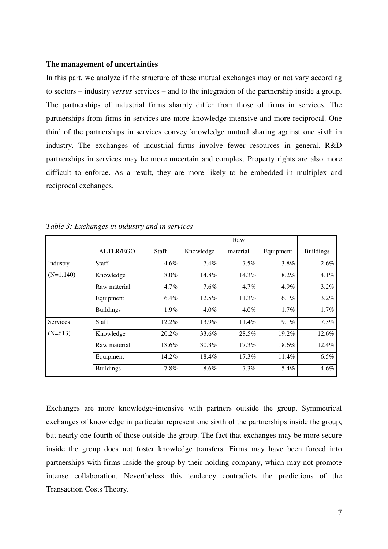#### **The management of uncertainties**

In this part, we analyze if the structure of these mutual exchanges may or not vary according to sectors – industry *versus* services – and to the integration of the partnership inside a group. The partnerships of industrial firms sharply differ from those of firms in services. The partnerships from firms in services are more knowledge-intensive and more reciprocal. One third of the partnerships in services convey knowledge mutual sharing against one sixth in industry. The exchanges of industrial firms involve fewer resources in general. R&D partnerships in services may be more uncertain and complex. Property rights are also more difficult to enforce. As a result, they are more likely to be embedded in multiplex and reciprocal exchanges.

|             |                  |              |           | Raw      |           |                  |
|-------------|------------------|--------------|-----------|----------|-----------|------------------|
|             | <b>ALTER/EGO</b> | <b>Staff</b> | Knowledge | material | Equipment | <b>Buildings</b> |
| Industry    | <b>Staff</b>     | 4.6%         | 7.4%      | 7.5%     | 3.8%      | 2.6%             |
| $(N=1.140)$ | Knowledge        | 8.0%         | 14.8%     | 14.3%    | 8.2%      | 4.1%             |
|             | Raw material     | 4.7%         | 7.6%      | 4.7%     | 4.9%      | 3.2%             |
|             | Equipment        | 6.4%         | 12.5%     | 11.3%    | 6.1%      | 3.2%             |
|             | <b>Buildings</b> | $1.9\%$      | $4.0\%$   | $4.0\%$  | 1.7%      | $1.7\%$          |
| Services    | <b>Staff</b>     | 12.2%        | 13.9%     | 11.4%    | 9.1%      | 7.3%             |
| $(N=613)$   | Knowledge        | 20.2%        | 33.6%     | 28.5%    | 19.2%     | 12.6%            |
|             | Raw material     | 18.6%        | 30.3%     | 17.3%    | 18.6%     | 12.4%            |
|             | Equipment        | 14.2%        | 18.4%     | 17.3%    | 11.4%     | 6.5%             |
|             | <b>Buildings</b> | 7.8%         | 8.6%      | 7.3%     | 5.4%      | 4.6%             |

*Table 3: Exchanges in industry and in services* 

Exchanges are more knowledge-intensive with partners outside the group. Symmetrical exchanges of knowledge in particular represent one sixth of the partnerships inside the group, but nearly one fourth of those outside the group. The fact that exchanges may be more secure inside the group does not foster knowledge transfers. Firms may have been forced into partnerships with firms inside the group by their holding company, which may not promote intense collaboration. Nevertheless this tendency contradicts the predictions of the Transaction Costs Theory.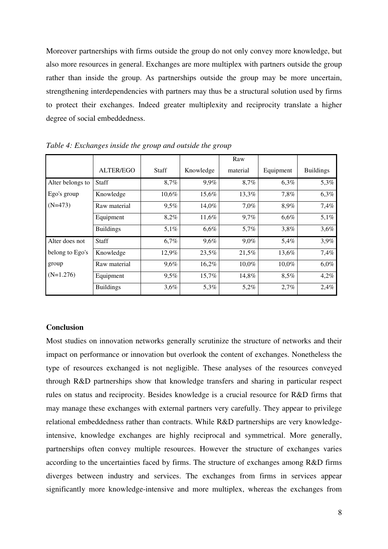Moreover partnerships with firms outside the group do not only convey more knowledge, but also more resources in general. Exchanges are more multiplex with partners outside the group rather than inside the group. As partnerships outside the group may be more uncertain, strengthening interdependencies with partners may thus be a structural solution used by firms to protect their exchanges. Indeed greater multiplexity and reciprocity translate a higher degree of social embeddedness.

|                  |                  |              |           | Raw      |           |                  |
|------------------|------------------|--------------|-----------|----------|-----------|------------------|
|                  | <b>ALTER/EGO</b> | <b>Staff</b> | Knowledge | material | Equipment | <b>Buildings</b> |
| Alter belongs to | Staff            | 8,7%         | 9,9%      | 8,7%     | 6,3%      | 5,3%             |
| Ego's group      | Knowledge        | 10,6%        | 15,6%     | 13,3%    | 7,8%      | 6,3%             |
| $(N=473)$        | Raw material     | 9,5%         | 14,0%     | 7,0%     | 8,9%      | 7,4%             |
|                  | Equipment        | 8,2%         | 11,6%     | 9,7%     | 6,6%      | 5,1%             |
|                  | <b>Buildings</b> | 5,1%         | 6,6%      | 5,7%     | 3,8%      | 3,6%             |
| Alter does not   | Staff            | 6,7%         | 9,6%      | $9,0\%$  | 5,4%      | 3,9%             |
| belong to Ego's  | Knowledge        | 12,9%        | 23,5%     | 21,5%    | 13,6%     | 7,4%             |
| group            | Raw material     | 9,6%         | 16,2%     | $10,0\%$ | $10.0\%$  | 6,0%             |
| $(N=1.276)$      | Equipment        | $9.5\%$      | 15,7%     | 14,8%    | 8,5%      | 4,2%             |
|                  | <b>Buildings</b> | 3,6%         | 5,3%      | 5,2%     | 2,7%      | 2,4%             |

*Table 4: Exchanges inside the group and outside the group* 

#### **Conclusion**

Most studies on innovation networks generally scrutinize the structure of networks and their impact on performance or innovation but overlook the content of exchanges. Nonetheless the type of resources exchanged is not negligible. These analyses of the resources conveyed through R&D partnerships show that knowledge transfers and sharing in particular respect rules on status and reciprocity. Besides knowledge is a crucial resource for R&D firms that may manage these exchanges with external partners very carefully. They appear to privilege relational embeddedness rather than contracts. While R&D partnerships are very knowledgeintensive, knowledge exchanges are highly reciprocal and symmetrical. More generally, partnerships often convey multiple resources. However the structure of exchanges varies according to the uncertainties faced by firms. The structure of exchanges among R&D firms diverges between industry and services. The exchanges from firms in services appear significantly more knowledge-intensive and more multiplex, whereas the exchanges from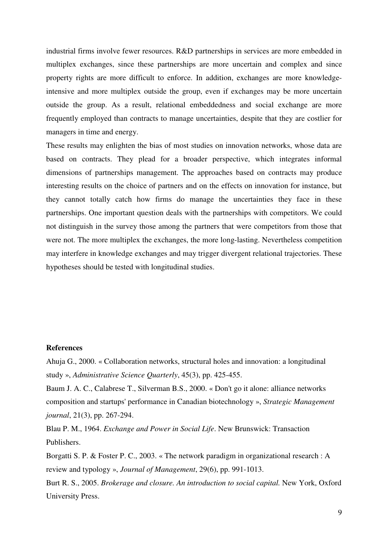industrial firms involve fewer resources. R&D partnerships in services are more embedded in multiplex exchanges, since these partnerships are more uncertain and complex and since property rights are more difficult to enforce. In addition, exchanges are more knowledgeintensive and more multiplex outside the group, even if exchanges may be more uncertain outside the group. As a result, relational embeddedness and social exchange are more frequently employed than contracts to manage uncertainties, despite that they are costlier for managers in time and energy.

These results may enlighten the bias of most studies on innovation networks, whose data are based on contracts. They plead for a broader perspective, which integrates informal dimensions of partnerships management. The approaches based on contracts may produce interesting results on the choice of partners and on the effects on innovation for instance, but they cannot totally catch how firms do manage the uncertainties they face in these partnerships. One important question deals with the partnerships with competitors. We could not distinguish in the survey those among the partners that were competitors from those that were not. The more multiplex the exchanges, the more long-lasting. Nevertheless competition may interfere in knowledge exchanges and may trigger divergent relational trajectories. These hypotheses should be tested with longitudinal studies.

### **References**

Ahuja G., 2000. « Collaboration networks, structural holes and innovation: a longitudinal study », *Administrative Science Quarterly*, 45(3), pp. 425-455.

Baum J. A. C., Calabrese T., Silverman B.S., 2000. « Don't go it alone: alliance networks composition and startups' performance in Canadian biotechnology », *Strategic Management journal*, 21(3), pp. 267-294.

Blau P. M., 1964. *Exchange and Power in Social Life*. New Brunswick: Transaction Publishers.

Borgatti S. P. & Foster P. C., 2003. « The network paradigm in organizational research : A review and typology », *Journal of Management*, 29(6), pp. 991-1013.

Burt R. S., 2005. *Brokerage and closure. An introduction to social capital.* New York, Oxford University Press.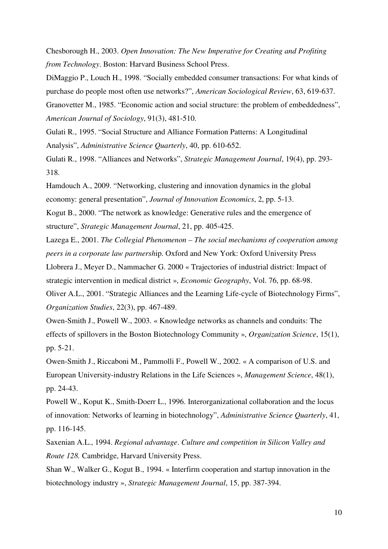Chesborough H., 2003. *Open Innovation: The New Imperative for Creating and Profiting from Technology*. Boston: Harvard Business School Press.

DiMaggio P., Louch H., 1998. "Socially embedded consumer transactions: For what kinds of purchase do people most often use networks?", *American Sociological Review*, 63, 619-637.

Granovetter M., 1985. "Economic action and social structure: the problem of embeddedness", *American Journal of Sociology*, 91(3), 481-510.

Gulati R., 1995. "Social Structure and Alliance Formation Patterns: A Longitudinal Analysis", *Administrative Science Quarterly*, 40, pp. 610-652.

Gulati R., 1998. "Alliances and Networks", *Strategic Management Journal*, 19(4), pp. 293- 318.

Hamdouch A., 2009. "Networking, clustering and innovation dynamics in the global economy: general presentation", *Journal of Innovation Economics*, 2, pp. 5-13.

Kogut B., 2000. "The network as knowledge: Generative rules and the emergence of structure", *Strategic Management Journal*, 21, pp. 405-425.

Lazega E., 2001. *The Collegial Phenomenon – The social mechanisms of cooperation among peers in a corporate law partnersh*ip. Oxford and New York: Oxford University Press

Llobrera J., Meyer D., Nammacher G. 2000 « Trajectories of industrial district: Impact of

strategic intervention in medical district », *Economic Geography*, Vol. 76, pp. 68-98.

Oliver A.L., 2001. "Strategic Alliances and the Learning Life-cycle of Biotechnology Firms", *Organization Studies*, 22(3), pp. 467-489.

Owen-Smith J., Powell W., 2003. « Knowledge networks as channels and conduits: The effects of spillovers in the Boston Biotechnology Community », *Organization Science*, 15(1), pp. 5-21.

Owen-Smith J., Riccaboni M., Pammolli F., Powell W., 2002. « A comparison of U.S. and European University-industry Relations in the Life Sciences », *Management Science*, 48(1), pp. 24-43.

Powell W., Koput K., Smith-Doerr L., 1996. Interorganizational collaboration and the locus of innovation: Networks of learning in biotechnology", *Administrative Science Quarterly*, 41, pp. 116-145.

Saxenian A.L., 1994. *Regional advantage*. *Culture and competition in Silicon Valley and Route 128.* Cambridge, Harvard University Press.

Shan W., Walker G., Kogut B., 1994. « Interfirm cooperation and startup innovation in the biotechnology industry », *Strategic Management Journal*, 15, pp. 387-394.